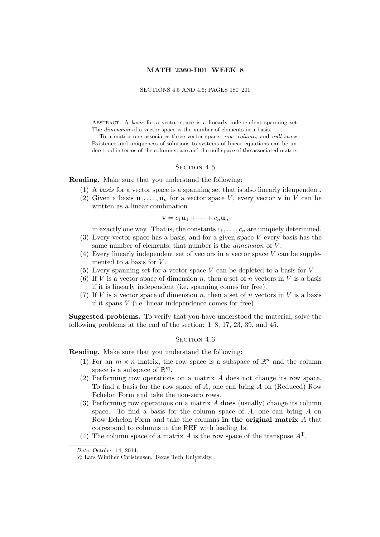## MATH 2360-D01 WEEK 8

## SECTIONS 4.5 AND 4.6; PAGES 180–201

ABSTRACT. A basis for a vector space is a linearly independent spanning set. The dimension of a vector space is the number of elements in a basis.

To a matrix one associates three vector space: row, column, and null space. Existence and uniqueness of solutions to systems of linear equations can be understood in terms of the column space and the null space of the associated matrix.

## SECTION 4.5

Reading. Make sure that you understand the following:

- (1) A basis for a vector space is a spanning set that is also linearly idenpendent.
- (2) Given a basis  $\mathbf{u}_1, \ldots, \mathbf{u}_n$  for a vector space V, every vector v in V can be written as a linear combination

$$
\mathbf{v}=c_1\mathbf{u}_1+\cdots+c_n\mathbf{u}_n
$$

in exactly one way. That is, the constants  $c_1, \ldots, c_n$  are uniquely determined.

- (3) Every vector space has a basis, and for a given space V every basis has the same number of elements; that number is the *dimension* of V.
- (4) Every linearly independent set of vectors in a vector space V can be supplemented to a basis for  $V$ .
- (5) Every spanning set for a vector space  $V$  can be depleted to a basis for  $V$ .
- (6) If V is a vector space of dimension n, then a set of n vectors in V is a basis if it is linearly independent (i.e. spanning comes for free).
- (7) If V is a vector space of dimension n, then a set of n vectors in V is a basis if it spans V (i.e. linear independence comes for free).

Suggested problems. To verify that you have understood the material, solve the following problems at the end of the section: 1–8, 17, 23, 39, and 45.

## SECTION 4.6

Reading. Make sure that you understand the following:

- (1) For an  $m \times n$  matrix, the row space is a subspace of  $\mathbb{R}^n$  and the column space is a subspace of  $\mathbb{R}^m$ .
- (2) Performing row operations on a matrix A does not change its row space. To find a basis for the row space of A, one can bring A on (Reduced) Row Echelon Form and take the non-zero rows.
- (3) Performing row operations on a matrix  $A$  does (usually) change its column space. To find a basis for the column space of  $A$ , one can bring  $A$  on Row Echelon Form and take the columns in the original matrix A that correspond to columns in the REF with leading 1s.
- (4) The column space of a matrix A is the row space of the transpose  $A<sup>T</sup>$ .

Date: October 14, 2014.

<sup>c</sup> Lars Winther Christensen, Texas Tech University. <sup>1</sup>